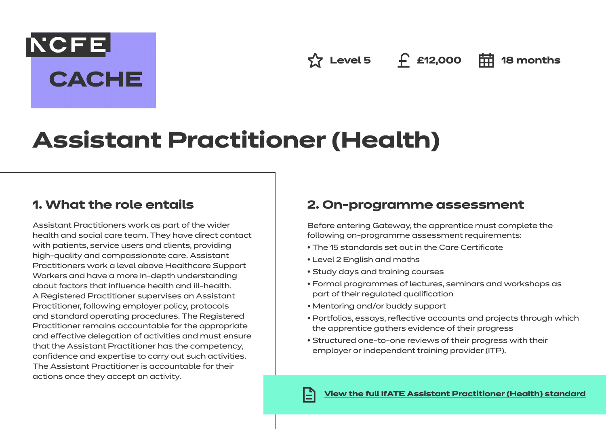**☆ Level 5 £12,000 中 18 months** 

# **Assistant Practitioner (Health)**

# **1. What the role entails**

NCFE.

**CACHE** 

Assistant Practitioners work as part of the wider health and social care team. They have direct contact with patients, service users and clients, providing high-quality and compassionate care. Assistant Practitioners work a level above Healthcare Support Workers and have a more in-depth understanding about factors that influence health and ill-health. A Registered Practitioner supervises an Assistant Practitioner, following employer policy, protocols and standard operating procedures. The Registered Practitioner remains accountable for the appropriate and effective delegation of activities and must ensure that the Assistant Practitioner has the competency, confidence and expertise to carry out such activities. The Assistant Practitioner is accountable for their actions once they accept an activity.

# **2. On-programme assessment**

Before entering Gateway, the apprentice must complete the following on-programme assessment requirements:

- The 15 standards set out in the Care Certificate
- Level 2 English and maths
- Study days and training courses
- Formal programmes of lectures, seminars and workshops as part of their regulated qualification
- Mentoring and/or buddy support
- Portfolios, essays, reflective accounts and projects through which the apprentice gathers evidence of their progress
- Structured one-to-one reviews of their progress with their employer or independent training provider (ITP).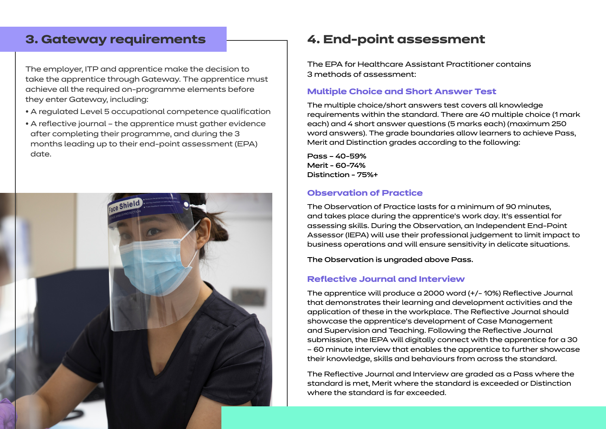### **3. Gateway requirements**

The employer, ITP and apprentice make the decision to take the apprentice through Gateway. The apprentice must achieve all the required on-programme elements before they enter Gateway, including:

- A regulated Level 5 occupational competence qualification
- A reflective journal the apprentice must gather evidence after completing their programme, and during the 3 months leading up to their end-point assessment (EPA) date.



# **4. End-point assessment**

The EPA for Healthcare Assistant Practitioner contains 3 methods of assessment:

#### **Multiple Choice and Short Answer Test**

The multiple choice/short answers test covers all knowledge requirements within the standard. There are 40 multiple choice (1 mark each) and 4 short answer questions (5 marks each) (maximum 250 word answers). The grade boundaries allow learners to achieve Pass, Merit and Distinction grades according to the following:

Pass – 40-59% Merit - 60-74% Distinction - 75%+

#### **Observation of Practice**

The Observation of Practice lasts for a minimum of 90 minutes, and takes place during the apprentice's work day. It's essential for assessing skills. During the Observation, an Independent End-Point Assessor (IEPA) will use their professional judgement to limit impact to business operations and will ensure sensitivity in delicate situations.

The Observation is ungraded above Pass.

#### **Reflective Journal and Interview**

The apprentice will produce a 2000 word (+/- 10%) Reflective Journal that demonstrates their learning and development activities and the application of these in the workplace. The Reflective Journal should showcase the apprentice's development of Case Management and Supervision and Teaching. Following the Reflective Journal submission, the IEPA will digitally connect with the apprentice for a 30 – 60 minute interview that enables the apprentice to further showcase their knowledge, skills and behaviours from across the standard.

The Reflective Journal and Interview are graded as a Pass where the standard is met, Merit where the standard is exceeded or Distinction where the standard is far exceeded.